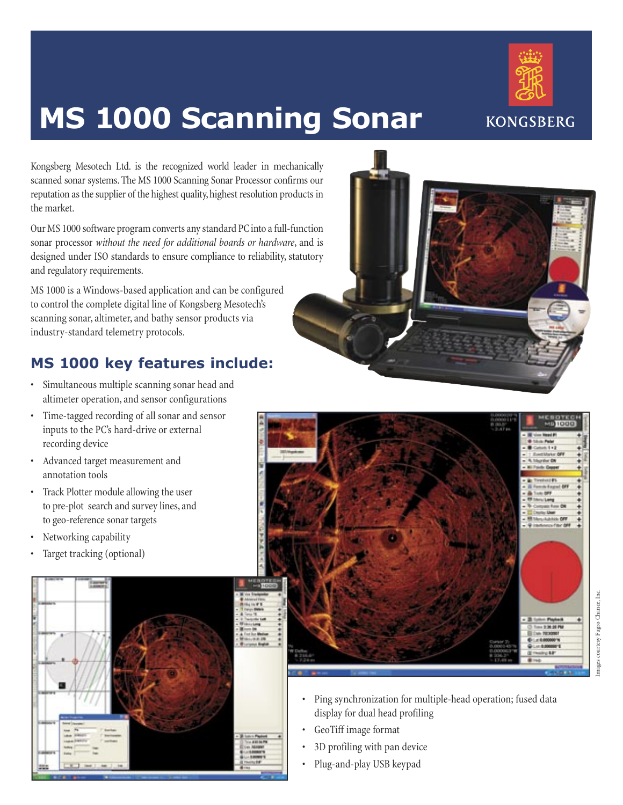

# **MS 1000 Scanning Sonar**

Kongsberg Mesotech Ltd. is the recognized world leader in mechanically scanned sonar systems. The MS 1000 Scanning Sonar Processor confirms our reputation as the supplier of the highest quality, highest resolution products in the market.

Our MS 1000 software program converts any standard PC into a full-function sonar processor *without the need for additional boards or hardware*, and is designed under ISO standards to ensure compliance to reliability, statutory and regulatory requirements.

MS 1000 is a Windows-based application and can be configured to control the complete digital line of Kongsberg Mesotech's scanning sonar, altimeter, and bathy sensor products via industry-standard telemetry protocols.

## **MS 1000 key features include:**

- Simultaneous multiple scanning sonar head and altimeter operation, and sensor configurations
- Time-tagged recording of all sonar and sensor inputs to the PC's hard-drive or external recording device
- Advanced target measurement and annotation tools
- Track Plotter module allowing the user to pre-plot search and survey lines, and to geo-reference sonar targets
- Networking capability
- Target tracking (optional)







- courtesy Fugro Chance, Inc. Images courtesy Fugro Chance, Inc.
- Ping synchronization for multiple-head operation; fused data display for dual head profiling
- GeoTiff image format
- 3D profiling with pan device
- Plug-and-play USB keypad